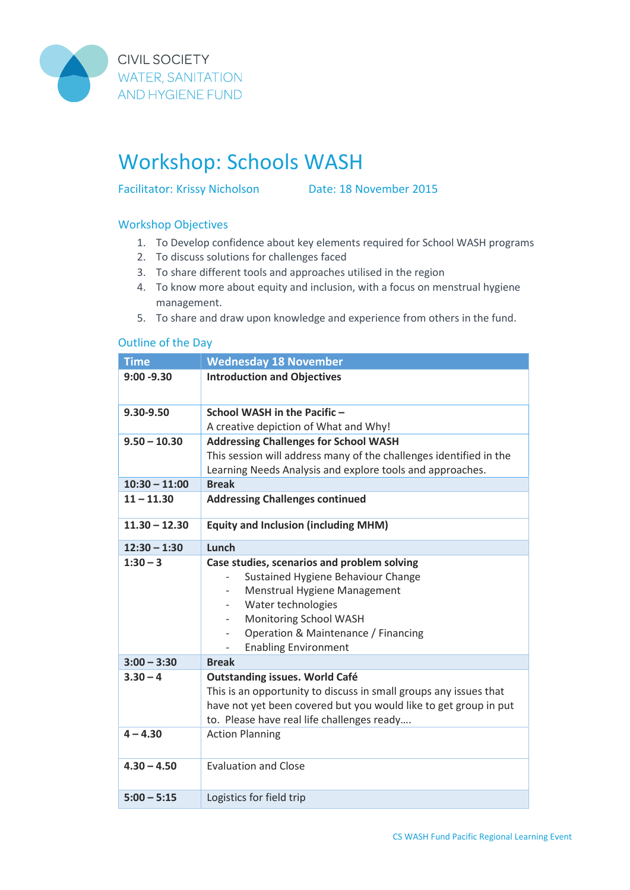

**CIVIL SOCIETY WATER, SANITATION AND HYGIENE FUND** 

## Workshop: Schools WASH

Facilitator: Krissy Nicholson Date: 18 November 2015

## Workshop Objectives

- 1. To Develop confidence about key elements required for School WASH programs
- 2. To discuss solutions for challenges faced
- 3. To share different tools and approaches utilised in the region
- 4. To know more about equity and inclusion, with a focus on menstrual hygiene management.
- 5. To share and draw upon knowledge and experience from others in the fund.

## Outline of the Day

| <b>Time</b>     | <b>Wednesday 18 November</b>                                                                                                                                                                                                                                        |
|-----------------|---------------------------------------------------------------------------------------------------------------------------------------------------------------------------------------------------------------------------------------------------------------------|
| $9:00 - 9.30$   | <b>Introduction and Objectives</b>                                                                                                                                                                                                                                  |
| 9.30-9.50       | School WASH in the Pacific -<br>A creative depiction of What and Why!                                                                                                                                                                                               |
| $9.50 - 10.30$  | <b>Addressing Challenges for School WASH</b><br>This session will address many of the challenges identified in the<br>Learning Needs Analysis and explore tools and approaches.                                                                                     |
| $10:30 - 11:00$ | <b>Break</b>                                                                                                                                                                                                                                                        |
| $11 - 11.30$    | <b>Addressing Challenges continued</b>                                                                                                                                                                                                                              |
| $11.30 - 12.30$ | <b>Equity and Inclusion (including MHM)</b>                                                                                                                                                                                                                         |
| $12:30 - 1:30$  | Lunch                                                                                                                                                                                                                                                               |
| $1:30 - 3$      | Case studies, scenarios and problem solving<br>Sustained Hygiene Behaviour Change<br>Menstrual Hygiene Management<br>Water technologies<br>Monitoring School WASH<br>Operation & Maintenance / Financing<br>$\overline{\phantom{a}}$<br><b>Enabling Environment</b> |
| $3:00 - 3:30$   | <b>Break</b>                                                                                                                                                                                                                                                        |
| $3.30 - 4$      | <b>Outstanding issues. World Café</b><br>This is an opportunity to discuss in small groups any issues that<br>have not yet been covered but you would like to get group in put<br>to. Please have real life challenges ready                                        |
| $4 - 4.30$      | <b>Action Planning</b>                                                                                                                                                                                                                                              |
| $4.30 - 4.50$   | <b>Evaluation and Close</b>                                                                                                                                                                                                                                         |
| $5:00 - 5:15$   | Logistics for field trip                                                                                                                                                                                                                                            |